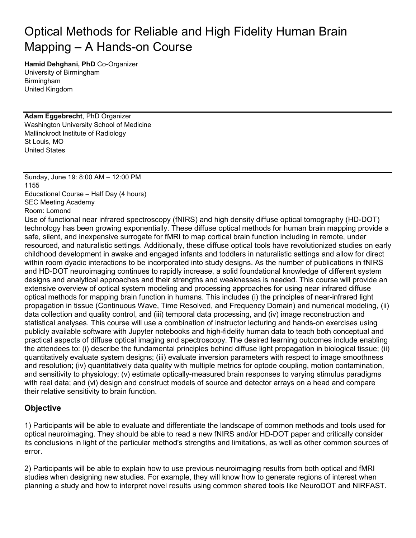# Optical Methods for Reliable and High Fidelity Human Brain Mapping – A Hands-on Course

**Hamid Dehghani, PhD** Co-Organizer University of Birmingham Birmingham United Kingdom

**Adam Eggebrecht**, PhD Organizer Washington University School of Medicine Mallinckrodt Institute of Radiology St Louis, MO United States

Sunday, June 19: 8:00 AM – 12:00 PM 1155 Educational Course – Half Day (4 hours) SEC Meeting Academy

Room: Lomond

Use of functional near infrared spectroscopy (fNIRS) and high density diffuse optical tomography (HD-DOT) technology has been growing exponentially. These diffuse optical methods for human brain mapping provide a safe, silent, and inexpensive surrogate for fMRI to map cortical brain function including in remote, under resourced, and naturalistic settings. Additionally, these diffuse optical tools have revolutionized studies on early childhood development in awake and engaged infants and toddlers in naturalistic settings and allow for direct within room dyadic interactions to be incorporated into study designs. As the number of publications in fNIRS and HD-DOT neuroimaging continues to rapidly increase, a solid foundational knowledge of different system designs and analytical approaches and their strengths and weaknesses is needed. This course will provide an extensive overview of optical system modeling and processing approaches for using near infrared diffuse optical methods for mapping brain function in humans. This includes (i) the principles of near-infrared light propagation in tissue (Continuous Wave, Time Resolved, and Frequency Domain) and numerical modeling, (ii) data collection and quality control, and (iii) temporal data processing, and (iv) image reconstruction and statistical analyses. This course will use a combination of instructor lecturing and hands-on exercises using publicly available software with Jupyter notebooks and high-fidelity human data to teach both conceptual and practical aspects of diffuse optical imaging and spectroscopy. The desired learning outcomes include enabling the attendees to: (i) describe the fundamental principles behind diffuse light propagation in biological tissue; (ii) quantitatively evaluate system designs; (iii) evaluate inversion parameters with respect to image smoothness and resolution; (iv) quantitatively data quality with multiple metrics for optode coupling, motion contamination, and sensitivity to physiology; (v) estimate optically-measured brain responses to varying stimulus paradigms with real data; and (vi) design and construct models of source and detector arrays on a head and compare their relative sensitivity to brain function.

#### **Objective**

1) Participants will be able to evaluate and differentiate the landscape of common methods and tools used for optical neuroimaging. They should be able to read a new fNIRS and/or HD-DOT paper and critically consider its conclusions in light of the particular method's strengths and limitations, as well as other common sources of error.

2) Participants will be able to explain how to use previous neuroimaging results from both optical and fMRI studies when designing new studies. For example, they will know how to generate regions of interest when planning a study and how to interpret novel results using common shared tools like NeuroDOT and NIRFAST.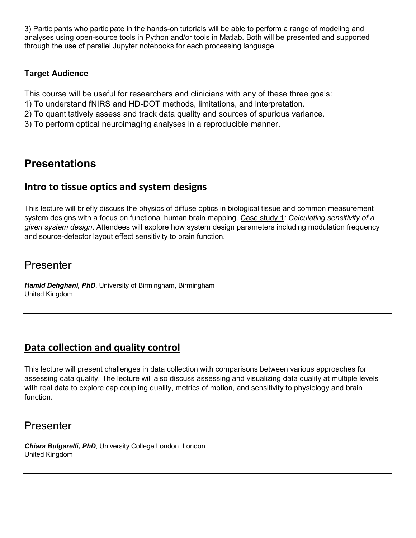3) Participants who participate in the hands-on tutorials will be able to perform a range of modeling and analyses using open-source tools in Python and/or tools in Matlab. Both will be presented and supported through the use of parallel Jupyter notebooks for each processing language.

#### **Target Audience**

This course will be useful for researchers and clinicians with any of these three goals:

- 1) To understand fNIRS and HD-DOT methods, limitations, and interpretation.
- 2) To quantitatively assess and track data quality and sources of spurious variance.
- 3) To perform optical neuroimaging analyses in a reproducible manner.

## **Presentations**

#### **Intro to tissue optics and system designs**

This lecture will briefly discuss the physics of diffuse optics in biological tissue and common measurement system designs with a focus on functional human brain mapping. Case study 1*: Calculating sensitivity of a given system design*. Attendees will explore how system design parameters including modulation frequency and source-detector layout effect sensitivity to brain function.

#### Presenter

*Hamid Dehghani, PhD*, University of Birmingham, Birmingham United Kingdom

#### **Data collection and quality control**

This lecture will present challenges in data collection with comparisons between various approaches for assessing data quality. The lecture will also discuss assessing and visualizing data quality at multiple levels with real data to explore cap coupling quality, metrics of motion, and sensitivity to physiology and brain function.

### Presenter

*Chiara Bulgarelli, PhD*, University College London, London United Kingdom